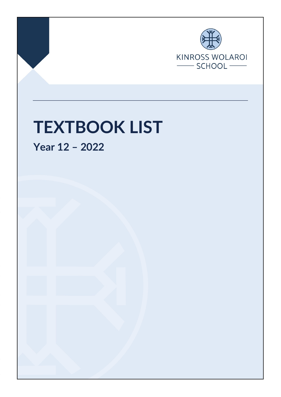

Page **1** of **6** issued 1 September 2021

# **TEXTBOOK LIST**

**Year 12 – 2022**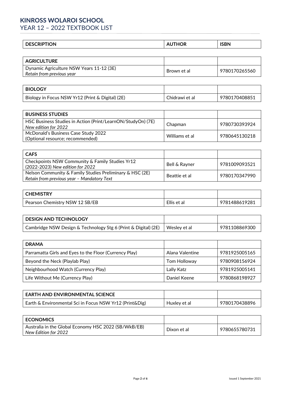## **KINROSS WOLAROI SCHOOL**

YEAR 12 – 2022 TEXTBOOK LIST

|  | - - -<br>$\epsilon$<br>ำN<br> |
|--|-------------------------------|
|--|-------------------------------|

| <b>AGRICULTURE</b>                                                    |             |               |
|-----------------------------------------------------------------------|-------------|---------------|
| Dynamic Agriculture NSW Years 11-12 (3E)<br>Retain from previous year | Brown et al | 9780170265560 |

| <b>BIOLOGY</b>                                   |                |               |
|--------------------------------------------------|----------------|---------------|
| Biology in Focus NSW Yr12 (Print & Digital) (2E) | Chidrawi et al | 9780170408851 |

| <b>BUSINESS STUDIES</b>                                                             |                |               |
|-------------------------------------------------------------------------------------|----------------|---------------|
| HSC Business Studies in Action (Print/LearnON/StudyOn) (7E)<br>New edition for 2022 | Chapman        | 9780730393924 |
| McDonald's Business Case Study 2022<br>(Optional resource; recommended)             | Williams et al | 9780645130218 |

| <b>CAFS</b>                                                                                            |               |               |
|--------------------------------------------------------------------------------------------------------|---------------|---------------|
| Checkpoints NSW Community & Family Studies Yr12<br>(2022-2023) New edition for 2022                    | Bell & Rayner | 9781009093521 |
| Nelson Community & Family Studies Preliminary & HSC (2E)<br>Retain from previous year - Mandatory Text | Beattie et al | 9780170347990 |

| <b>CHEMISTRY</b>               |             |               |
|--------------------------------|-------------|---------------|
| Pearson Chemistry NSW 12 SB/EB | Ellis et al | 9781488619281 |

| <b>DESIGN AND TECHNOLOGY</b>                                   |              |               |
|----------------------------------------------------------------|--------------|---------------|
| Cambridge NSW Design & Technology Stg 6 (Print & Digital) (2E) | Wesley et al | 9781108869300 |

| <b>DRAMA</b>                                           |                 |               |
|--------------------------------------------------------|-----------------|---------------|
| Parramatta Girls and Eyes to the Floor (Currency Play) | Alana Valentine | 9781925005165 |
| Beyond the Neck (Playlab Play)                         | Tom Holloway    | 9780908156924 |
| Neighbourhood Watch (Currency Play)                    | Lally Katz      | 9781925005141 |
| Life Without Me (Currency Play)                        | Daniel Keene    | 9780868198927 |

| <b>EARTH AND ENVIRONMENTAL SCIENCE</b>                    |              |               |
|-----------------------------------------------------------|--------------|---------------|
| Earth & Environmental Sci in Focus NSW $Yr12$ (Print&Dig) | Huxley et al | 9780170438896 |

| <b>ECONOMICS</b>                                                             |             |               |
|------------------------------------------------------------------------------|-------------|---------------|
| Australia in the Global Economy HSC 2022 (SB/WkB/EB)<br>New Edition for 2022 | Dixon et al | 9780655780731 |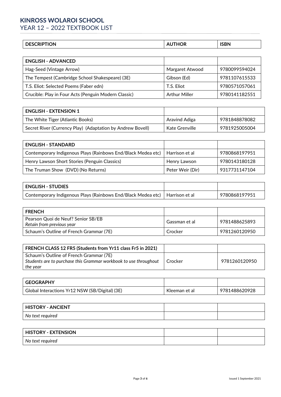## **KINROSS WOLAROI SCHOOL** YEAR 12 – 2022 TEXTBOOK LIST

| ΙUΝ<br>וע<br>. | Œ | ICRN<br>----- |
|----------------|---|---------------|
|                |   |               |

| <b>ENGLISH - ADVANCED</b>                            |                      |               |
|------------------------------------------------------|----------------------|---------------|
| Hag-Seed (Vintage Arrow)                             | Margaret Atwood      | 9780099594024 |
| The Tempest (Cambridge School Shakespeare) (3E)      | Gibson (Ed)          | 9781107615533 |
| T.S. Eliot: Selected Poems (Faber edn)               | T.S. Eliot           | 9780571057061 |
| Crucible: Play in Four Acts (Penguin Modern Classic) | <b>Arthur Miller</b> | 9780141182551 |

| <b>ENGLISH - EXTENSION 1</b>                               |                |               |
|------------------------------------------------------------|----------------|---------------|
| The White Tiger (Atlantic Books)                           | Aravind Adiga  | 9781848878082 |
| Secret River (Currency Play) (Adaptation by Andrew Bovell) | Kate Grenville | 9781925005004 |

| <b>ENGLISH - STANDARD</b>                                                     |                  |               |
|-------------------------------------------------------------------------------|------------------|---------------|
| Contemporary Indigenous Plays (Rainbows End/Black Medea etc)   Harrison et al |                  | 9780868197951 |
| Henry Lawson Short Stories (Penguin Classics)                                 | Henry Lawson     | 9780143180128 |
| The Truman Show (DVD) (No Returns)                                            | Peter Weir (Dir) | 9317731147104 |

| <b>ENGLISH - STUDIES</b>                                                      |               |
|-------------------------------------------------------------------------------|---------------|
| Contemporary Indigenous Plays (Rainbows End/Black Medea etc)   Harrison et al | 9780868197951 |

| <b>FRENCH</b>                                                   |               |               |
|-----------------------------------------------------------------|---------------|---------------|
| Pearson Quoi de Neuf? Senior SB/EB<br>Retain from previous year | Gassman et al | 9781488625893 |
| Schaum's Outline of French Grammar (7E)                         | Crocker       | 9781260120950 |

| FRENCH CLASS 12 FR5 (Students from Yr11 class Fr5 in 2021)                                                              |         |               |
|-------------------------------------------------------------------------------------------------------------------------|---------|---------------|
| Schaum's Outline of French Grammar (7E)<br>Students are to purchase this Grammar workbook to use throughout<br>the year | Crocker | 9781260120950 |

| <b>GEOGRAPHY</b>                               |               |               |
|------------------------------------------------|---------------|---------------|
| Global Interactions Yr12 NSW (SB/Digital) (3E) | Kleeman et al | 9781488620928 |

| HISTORY - ANCIENT |  |
|-------------------|--|
| No text required  |  |

| <b>HISTORY - EXTENSION</b> |  |
|----------------------------|--|
| No text required           |  |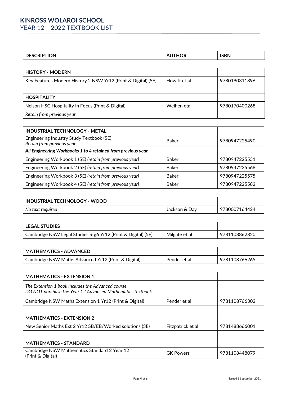## **KINROSS WOLAROI SCHOOL** YEAR 12 – 2022 TEXTBOOK LIST

| эN | ^<br>. н. | <b>ISBN</b> |
|----|-----------|-------------|

| <b>HISTORY - MODERN</b>                                       |              |               |
|---------------------------------------------------------------|--------------|---------------|
| Key Features Modern History 2 NSW Yr12 (Print & Digital) (5E) | Howitt et al | 9780190311896 |
|                                                               |              |               |
| <b>HOSPITALITY</b>                                            |              |               |
| Nelson HSC Hospitality in Focus (Print & Digital)             | Weihen etal  | 9780170400268 |
| Retain from previous year                                     |              |               |

| <b>INDUSTRIAL TECHNOLOGY - METAL</b>                                  |              |               |
|-----------------------------------------------------------------------|--------------|---------------|
| Engineering Industry Study Textbook (5E)<br>Retain from previous year | <b>Baker</b> | 9780947225490 |
| All Engineering Workbooks 1 to 4 retained from previous year          |              |               |
| Engineering Workbook 1 (5E) (retain from previous year)               | <b>Baker</b> | 9780947225551 |
| Engineering Workbook 2 (5E) (retain from previous year)               | <b>Baker</b> | 9780947225568 |
| Engineering Workbook 3 (5E) (retain from previous year)               | <b>Baker</b> | 9780947225575 |
| Engineering Workbook 4 (5E) (retain from previous year)               | <b>Baker</b> | 9780947225582 |

| INDUSTRIAL TECHNOLOGY - WOOD |               |               |
|------------------------------|---------------|---------------|
| No text required             | Jackson & Day | 9780007164424 |

| <b>LEGAL STUDIES</b>                                         |               |               |
|--------------------------------------------------------------|---------------|---------------|
| Cambridge NSW Legal Studies Stg6 Yr12 (Print & Digital) (5E) | Milgate et al | 9781108862820 |

| <b>MATHEMATICS - ADVANCED</b>                       |              |               |
|-----------------------------------------------------|--------------|---------------|
| Cambridge NSW Maths Advanced Yr12 (Print & Digital) | Pender et al | 9781108766265 |

| <b>MATHEMATICS - EXTENSION 1</b>                                                                                |                   |               |
|-----------------------------------------------------------------------------------------------------------------|-------------------|---------------|
| The Extension 1 book includes the Advanced course.<br>DO NOT purchase the Year 12 Advanced Mathematics textbook |                   |               |
| Cambridge NSW Maths Extension 1 Yr12 (Print & Digital)                                                          | Pender et al      | 9781108766302 |
|                                                                                                                 |                   |               |
| <b>MATHEMATICS - EXTENSION 2</b>                                                                                |                   |               |
| New Senior Maths Ext 2 Yr12 SB/EB/Worked solutions (3E)                                                         | Fitzpatrick et al | 9781488666001 |
|                                                                                                                 |                   |               |
| <b>MATHEMATICS - STANDARD</b>                                                                                   |                   |               |
| Cambridge NSW Mathematics Standard 2 Year 12<br>(Print & Digital)                                               | <b>GK Powers</b>  | 9781108448079 |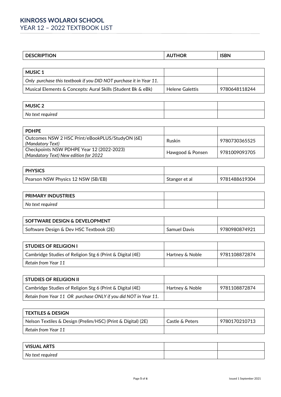| .<br>эN | $- - -$ |
|---------|---------|
|         |         |

| <b>MUSIC 1</b>                                                     |                 |               |
|--------------------------------------------------------------------|-----------------|---------------|
| Only purchase this textbook if you DID NOT purchase it in Year 11. |                 |               |
| Musical Elements & Concepts: Aural Skills (Student Bk & eBk)       | Helene Galettis | 9780648118244 |

| <b>MUSIC 2</b>   |  |
|------------------|--|
| No text required |  |

| <b>PDHPE</b>                                                                       |                  |               |
|------------------------------------------------------------------------------------|------------------|---------------|
| Outcomes NSW 2 HSC Print/eBookPLUS/StudyON (6E)<br>(Mandatory Text)                | Ruskin           | 9780730365525 |
| Checkpoints NSW PDHPE Year 12 (2022-2023)<br>(Mandatory Text) New edition for 2022 | Hawgood & Ponsen | 9781009093705 |

| <b>PHYSICS</b>                     |               |               |
|------------------------------------|---------------|---------------|
| Pearson NSW Physics 12 NSW (SB/EB) | Stanger et al | 9781488619304 |

| <b>PRIMARY INDUSTRIES</b> |  |
|---------------------------|--|
| No text required          |  |

| SOFTWARE DESIGN & DEVELOPMENT           |              |               |
|-----------------------------------------|--------------|---------------|
| Software Design & Dev HSC Textbook (2E) | Samuel Davis | 9780980874921 |

| <b>STUDIES OF RELIGION I</b>                              |                 |               |
|-----------------------------------------------------------|-----------------|---------------|
| Cambridge Studies of Religion Stg 6 (Print & Digital (4E) | Hartney & Noble | 9781108872874 |
| Retain from Year 11                                       |                 |               |

| <b>STUDIES OF RELIGION II</b>                                   |                 |               |
|-----------------------------------------------------------------|-----------------|---------------|
| Cambridge Studies of Religion Stg 6 (Print & Digital (4E)       | Hartney & Noble | 9781108872874 |
| Retain from Year 11 OR purchase ONLY if you did NOT in Year 11. |                 |               |

| l TEXTILES & DESIGN                                          |                 |               |
|--------------------------------------------------------------|-----------------|---------------|
| Nelson Textiles & Design (Prelim/HSC) (Print & Digital) (2E) | Castle & Peters | 9780170210713 |
| Retain from Year 11                                          |                 |               |

| <b>VISUAL ARTS</b> |  |
|--------------------|--|
| No text required   |  |